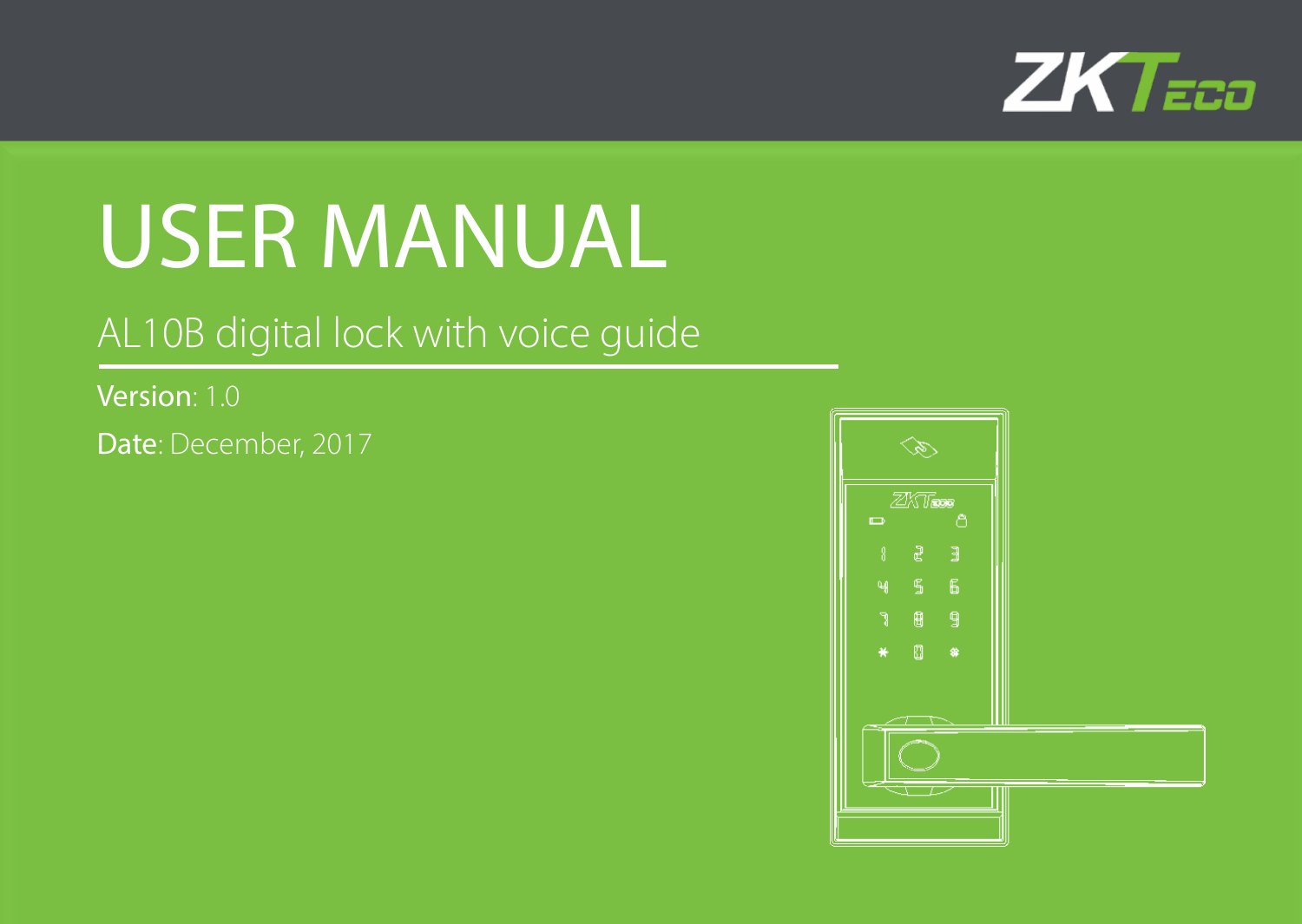

# USER MANUAL

#### AL10B digital lock with voice guide

Version: 1.0 Date: December, 2017

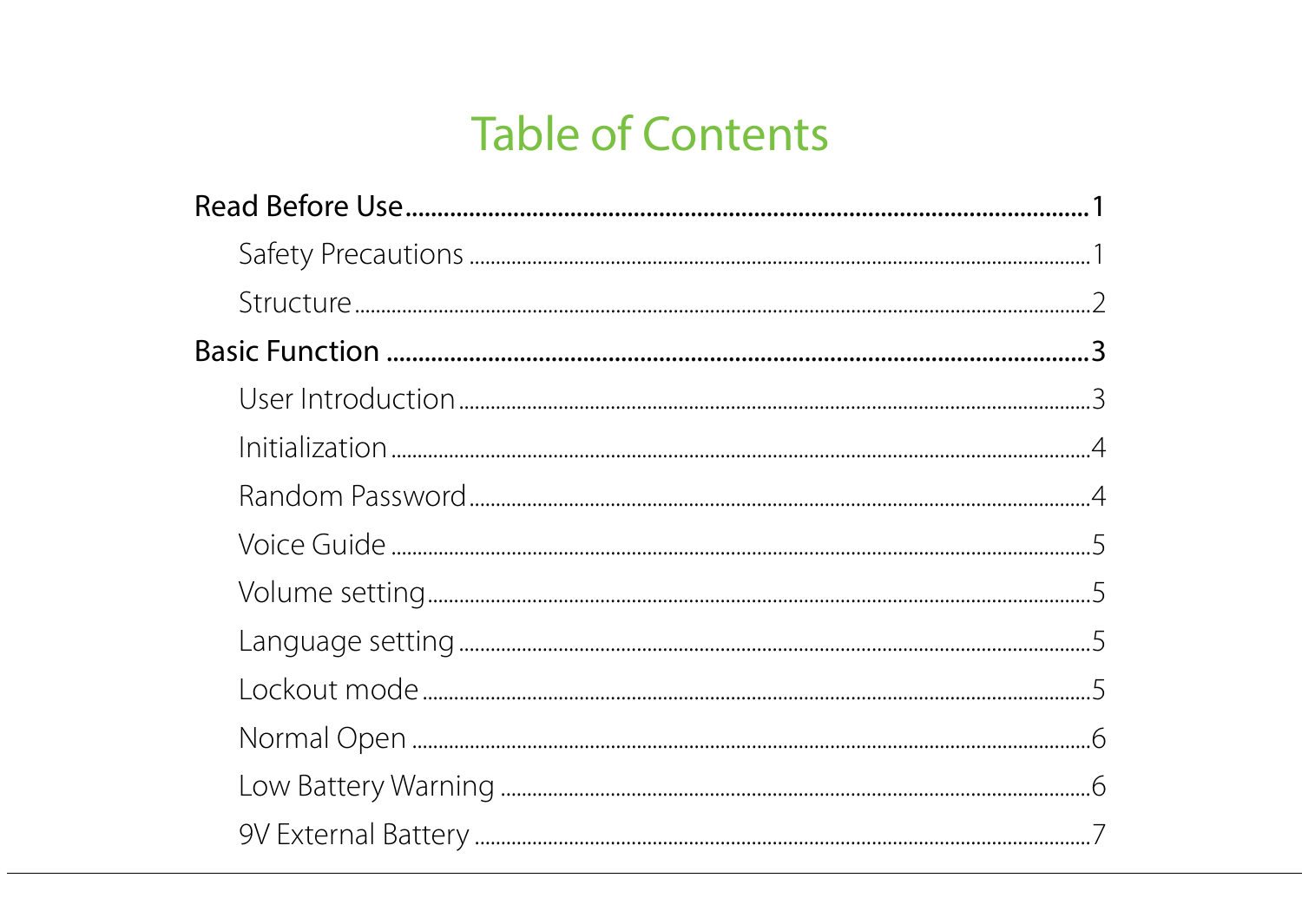## **Table of Contents**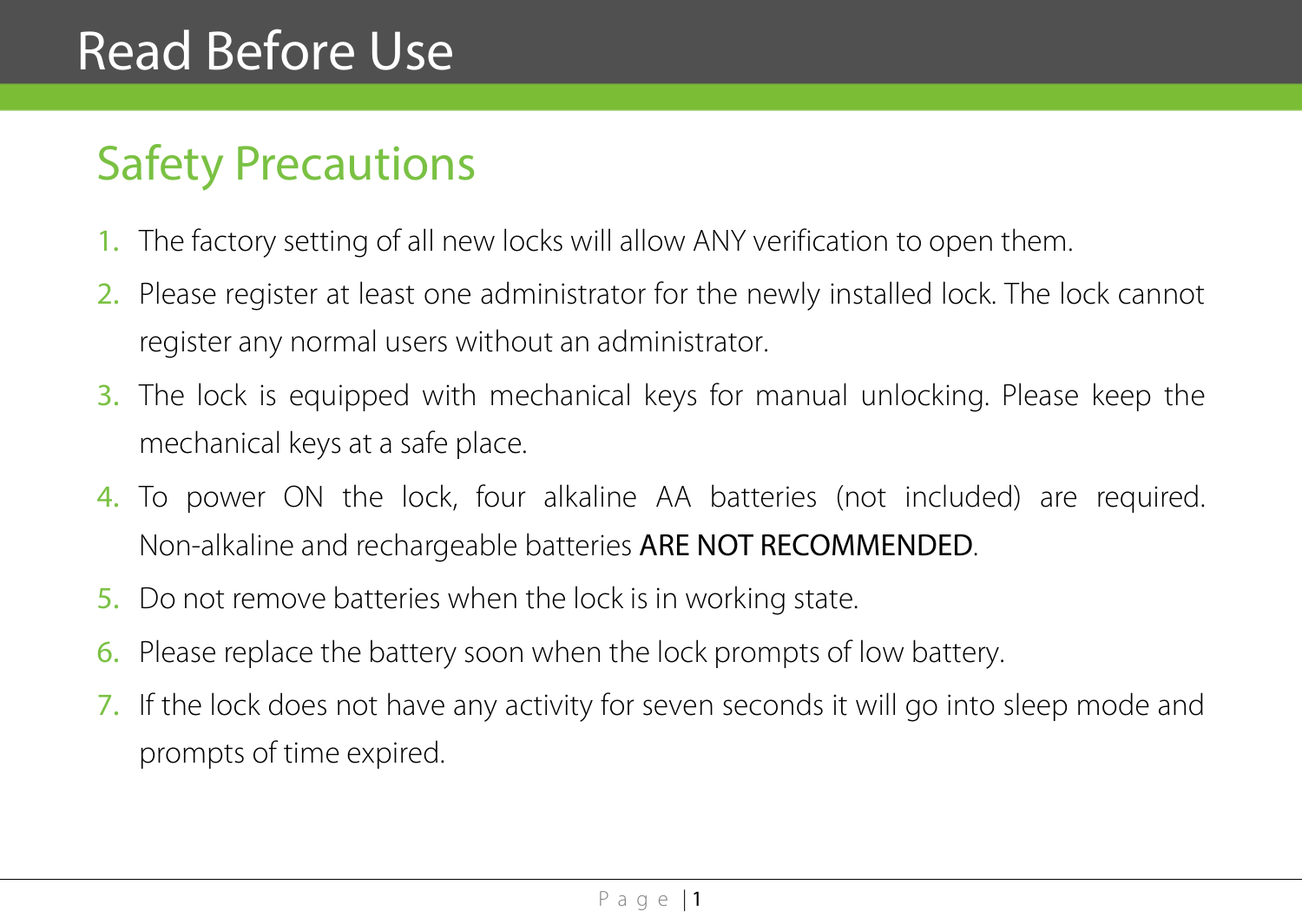# Read Before Use

# <span id="page-3-0"></span>Safety Precautions

- 1. The factory setting of all new locks will allow ANY verification to open them.
- 2. Please register at least one administrator for the newly installed lock. The lock cannot register any normal users without an administrator.
- 3. The lock is equipped with mechanical keys for manual unlocking. Please keep the mechanical keys at a safe place.
- 4. To power ON the lock, four alkaline AA batteries (not included) are required. Non-alkaline and rechargeable batteries ARE NOT RECOMMENDED.
- 5. Do not remove batteries when the lock is in working state.
- 6. Please replace the battery soon when the lock prompts of low battery.
- 7. If the lock does not have any activity for seven seconds it will go into sleep mode and prompts of time expired.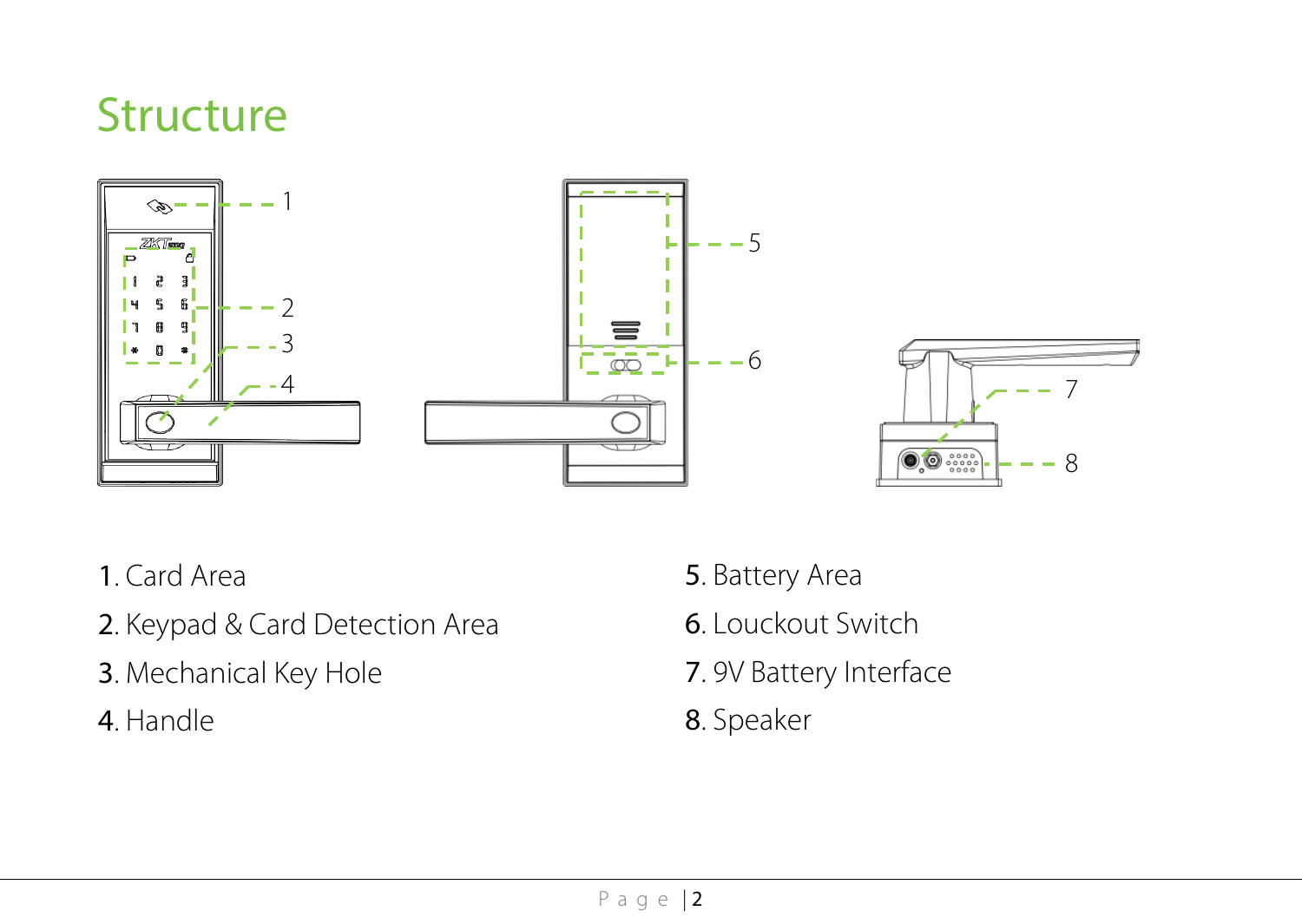# <span id="page-4-0"></span>**Structure**





- . Card Area
- . Keypad & Card Detection Area
- . Mechanical Key Hole
- . Handle
- . Battery Area
- . Louckout Switch
- . 9V Battery Interface
- . Speaker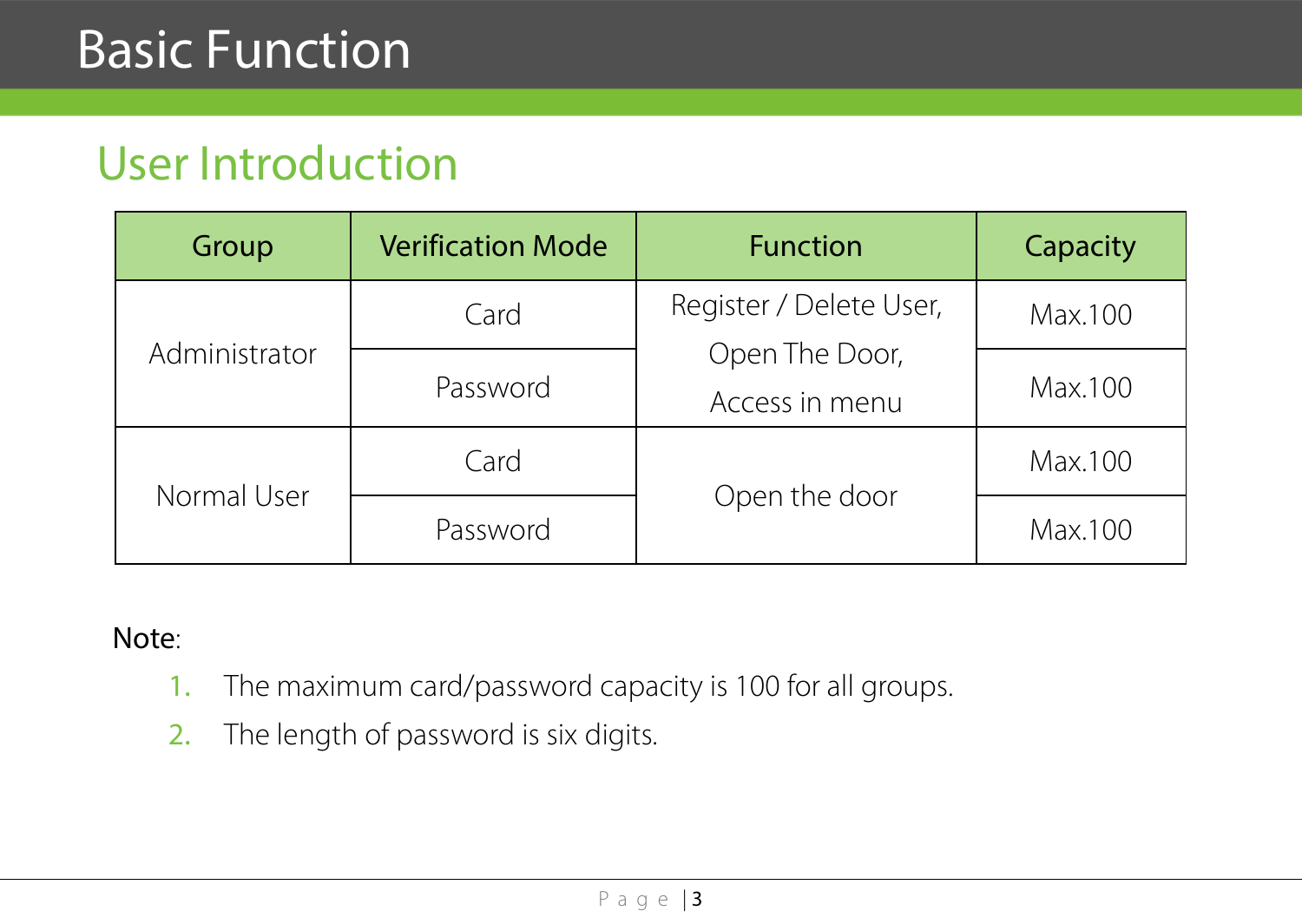#### <span id="page-5-0"></span>User Introduction

| Group         | <b>Verification Mode</b> | <b>Function</b>                  | Capacity |
|---------------|--------------------------|----------------------------------|----------|
| Administrator | Card                     | Register / Delete User,          | Max.100  |
|               | Password                 | Open The Door,<br>Access in menu | Max.100  |
| Normal User   | Card                     | Open the door                    | Max.100  |
|               | Password                 |                                  | Max.100  |

#### Note:

- 1. The maximum card/password capacity is 100 for all groups.
- 2. The length of password is six digits.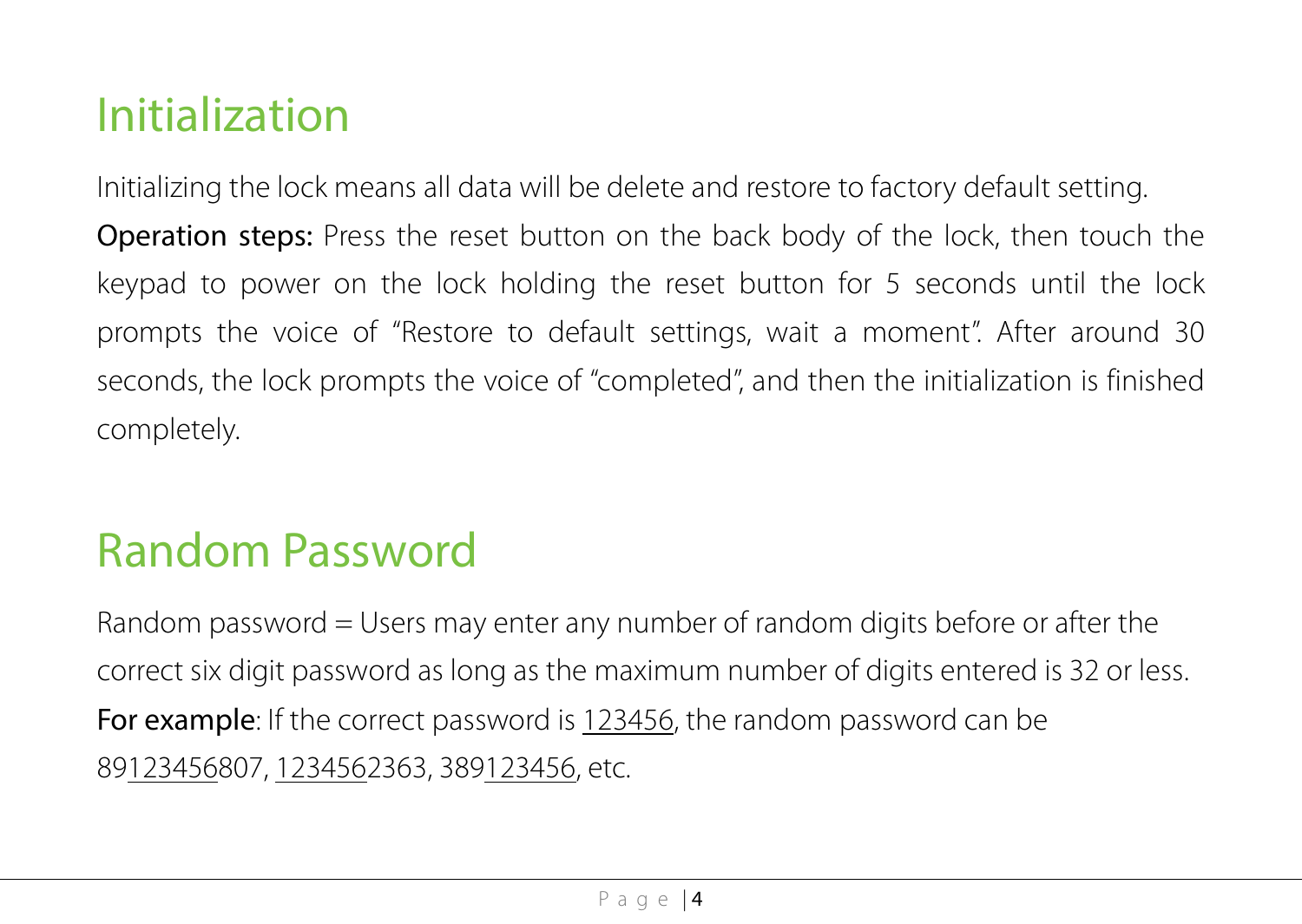# <span id="page-6-0"></span>Initialization

Initializing the lock means all data will be delete and restore to factory default setting.

Operation steps: Press the reset button on the back body of the lock, then touch the keypad to power on the lock holding the reset button for 5 seconds until the lock prompts the voice of "Restore to default settings, wait a moment". After around 30 seconds, the lock prompts the voice of "completed", and then the initialization is finished completely.

### <span id="page-6-1"></span>Random Password

Random password = Users may enter any number of random digits before or after the correct six digit password as long as the maximum number of digits entered is 32 or less. For example: If the correct password is 123456, the random password can be 89123456807, 1234562363, 389123456, etc.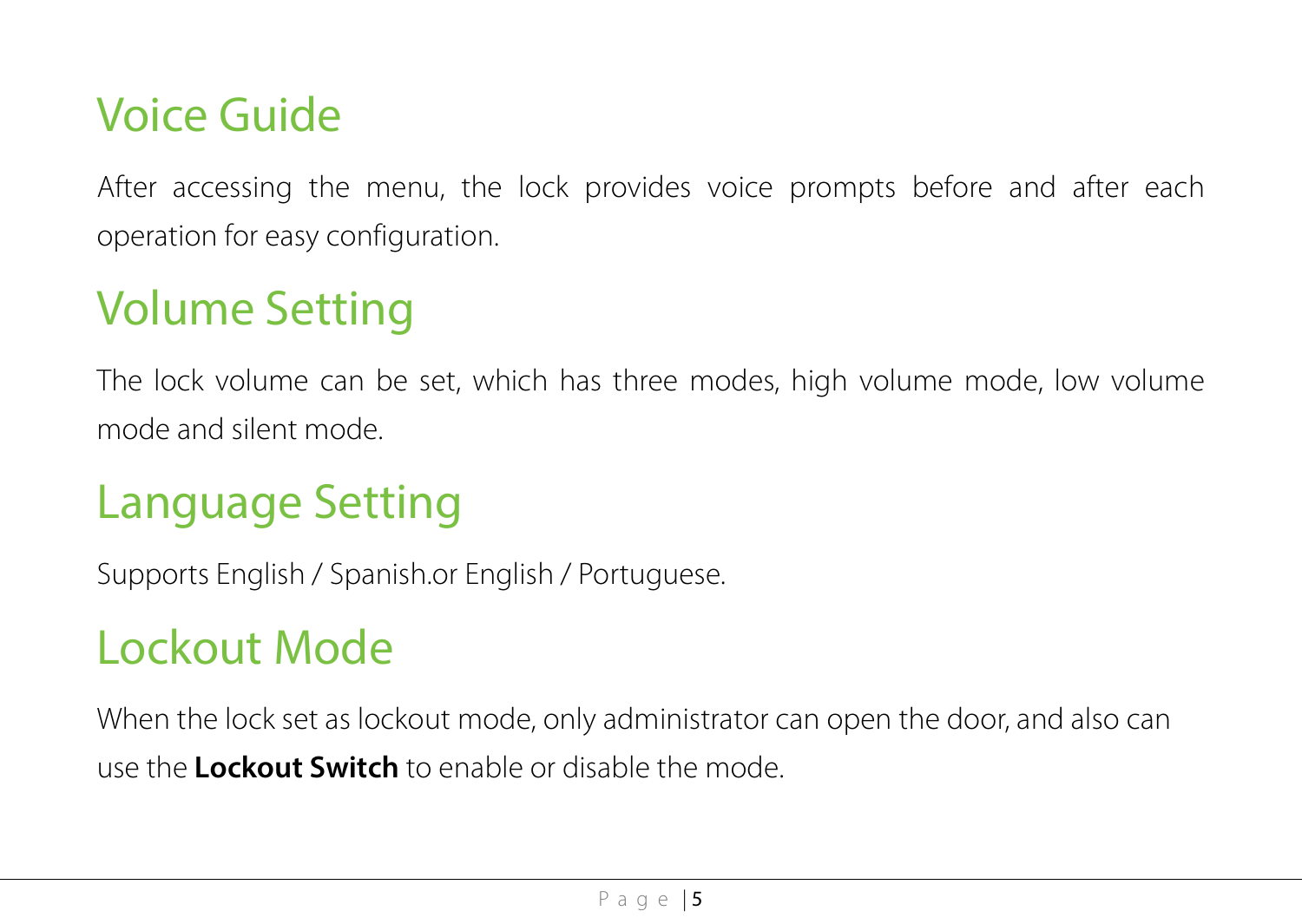#### <span id="page-7-0"></span>Voice Guide

After accessing the menu, the lock provides voice prompts before and after each operation for easy configuration.

# <span id="page-7-1"></span>Volume Setting

The lock volume can be set, which has three modes, high volume mode, low volume mode and silent mode.

### <span id="page-7-2"></span>Language Setting

Supports English / Spanish.or English / Portuguese.

## <span id="page-7-3"></span>Lockout Mode

When the lock set as lockout mode, only administrator can open the door, and also can use the **Lockout Switch** to enable or disable the mode.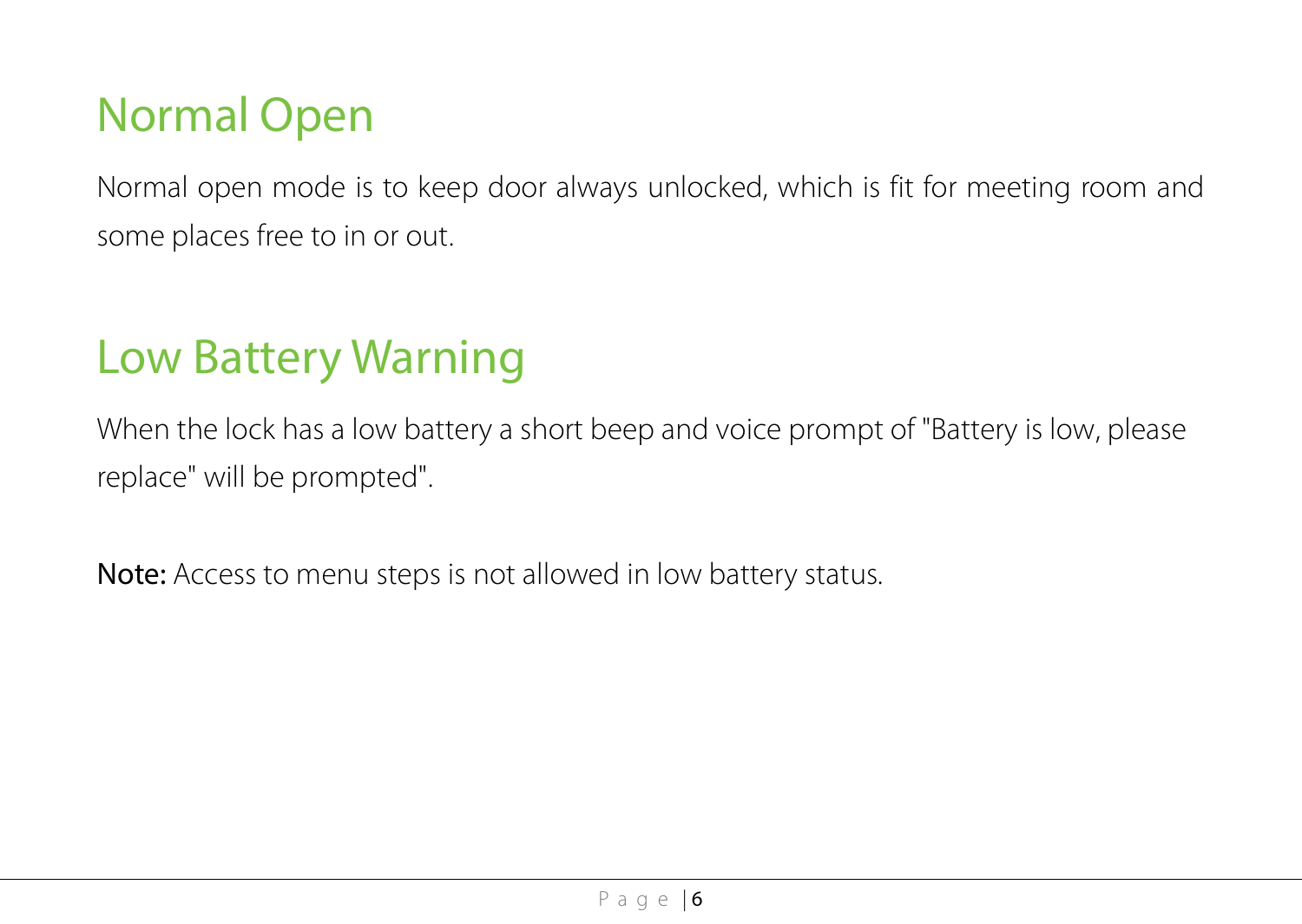### <span id="page-8-0"></span>Normal Open

Normal open mode is to keep door always unlocked, which is fit for meeting room and some places free to in or out.

### <span id="page-8-1"></span>Low Battery Warning

When the lock has a low battery a short beep and voice prompt of "Battery is low, please replace" will be prompted".

Note: Access to menu steps is not allowed in low battery status.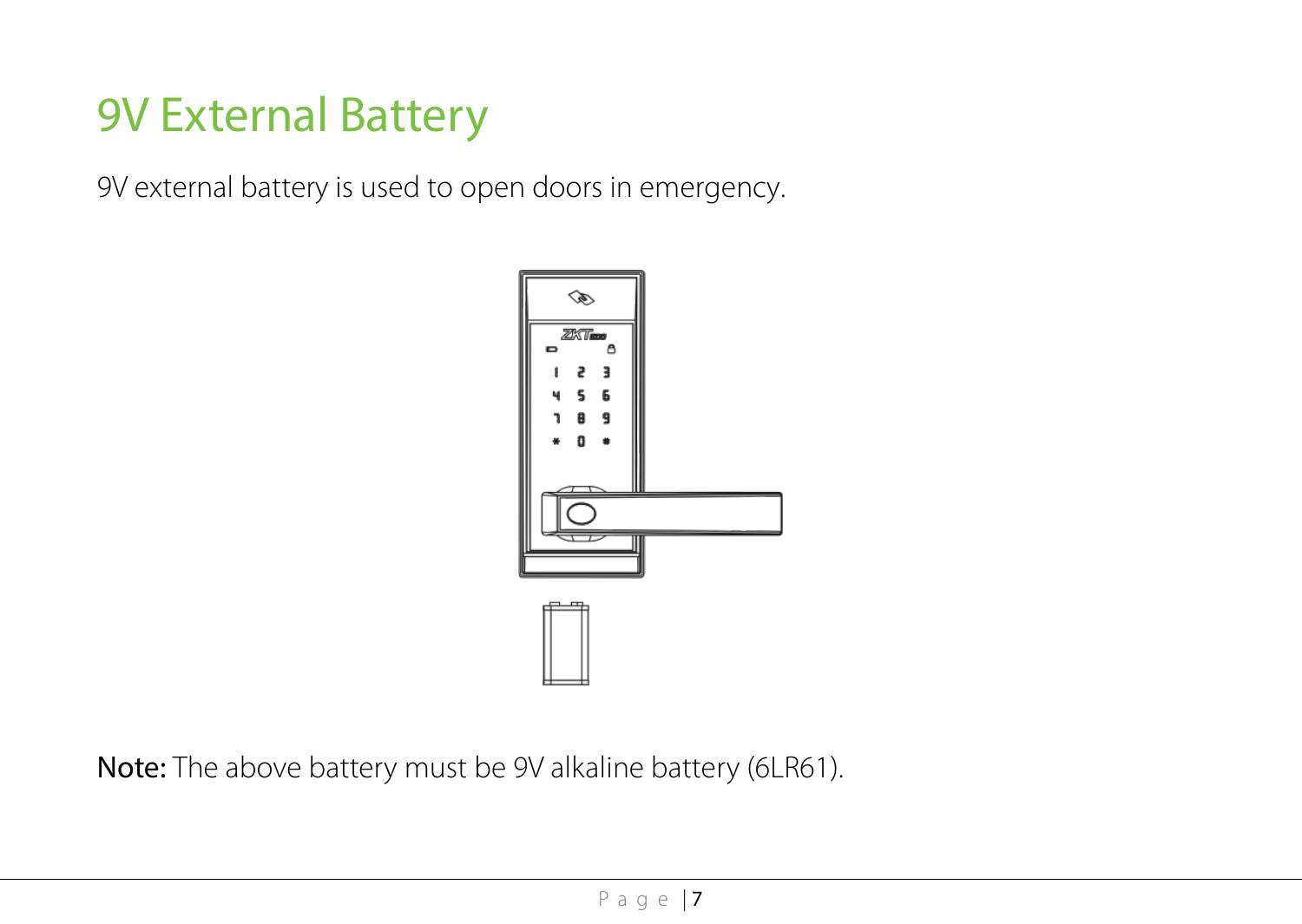# <span id="page-9-0"></span>9V External Battery

9V external battery is used to open doors in emergency.



Note: The above battery must be 9V alkaline battery (6LR61).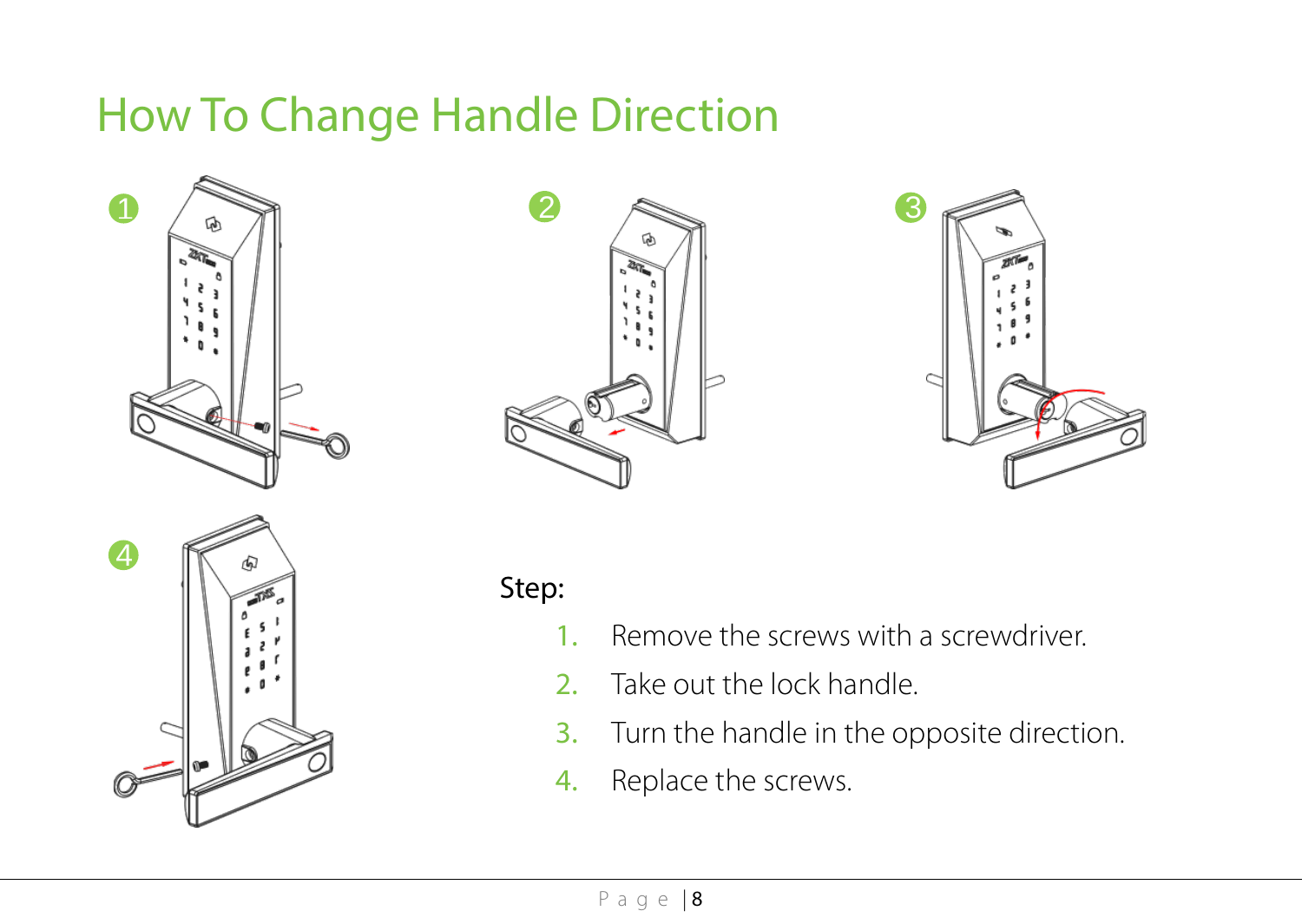### <span id="page-10-0"></span>How To Change Handle Direction









#### Step:

- 1. Remove the screws with a screwdriver.
- 2. Take out the lock handle.
- 3. Turn the handle in the opposite direction.
- 4. Replace the screws.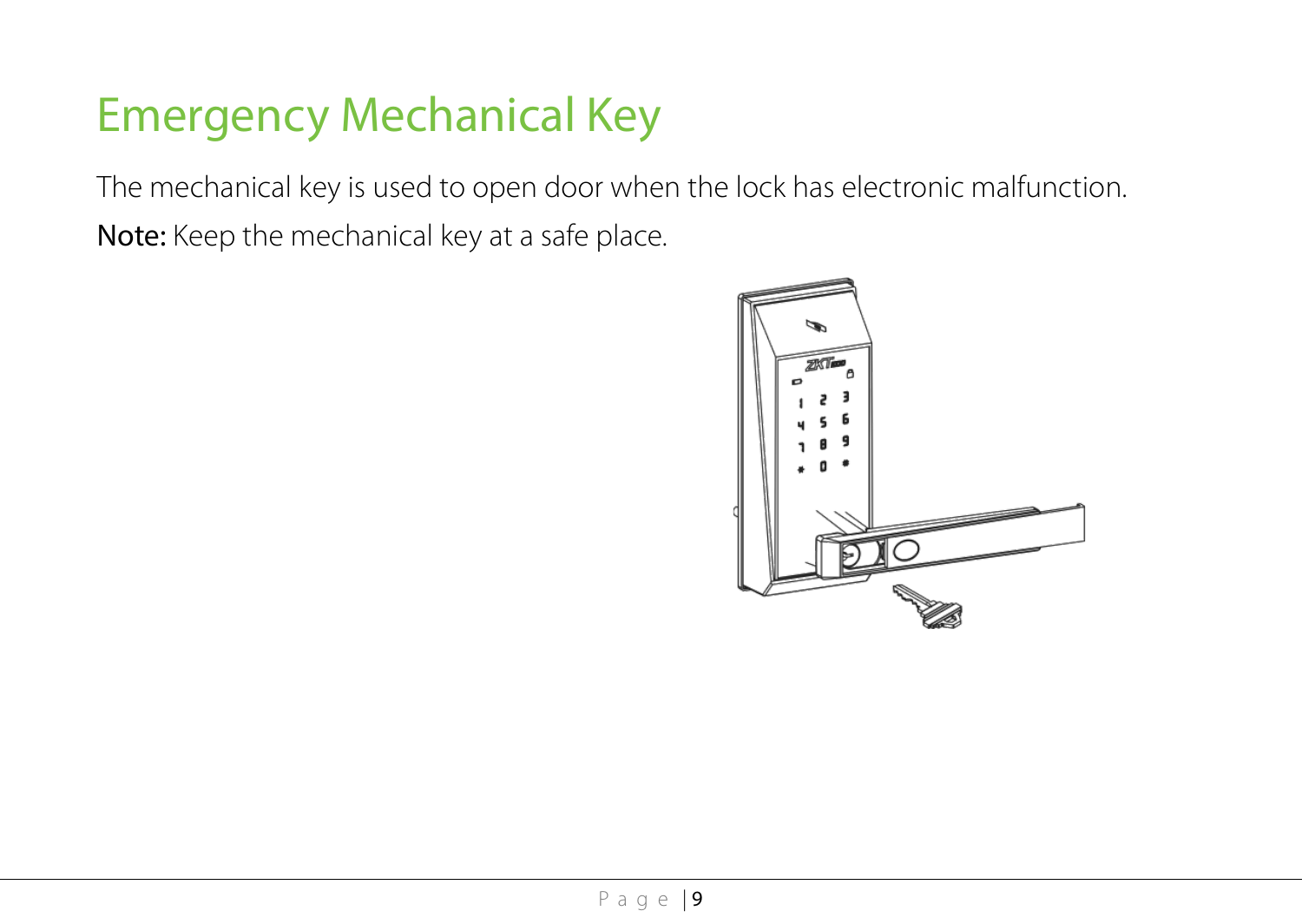# <span id="page-11-0"></span>Emergency Mechanical Key

The mechanical key is used to open door when the lock has electronic malfunction.

Note: Keep the mechanical key at a safe place.

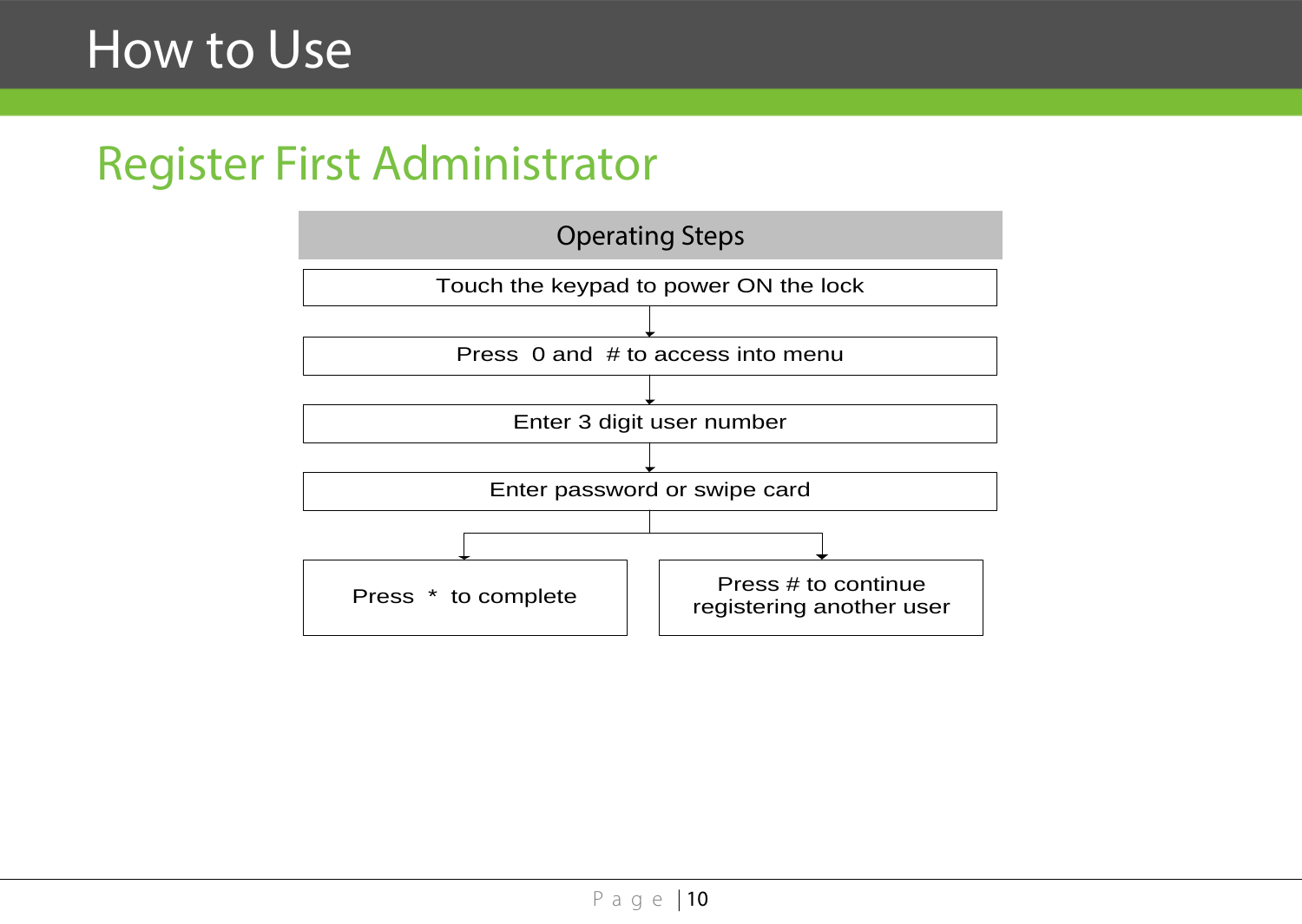#### <span id="page-12-0"></span>Register First Administrator

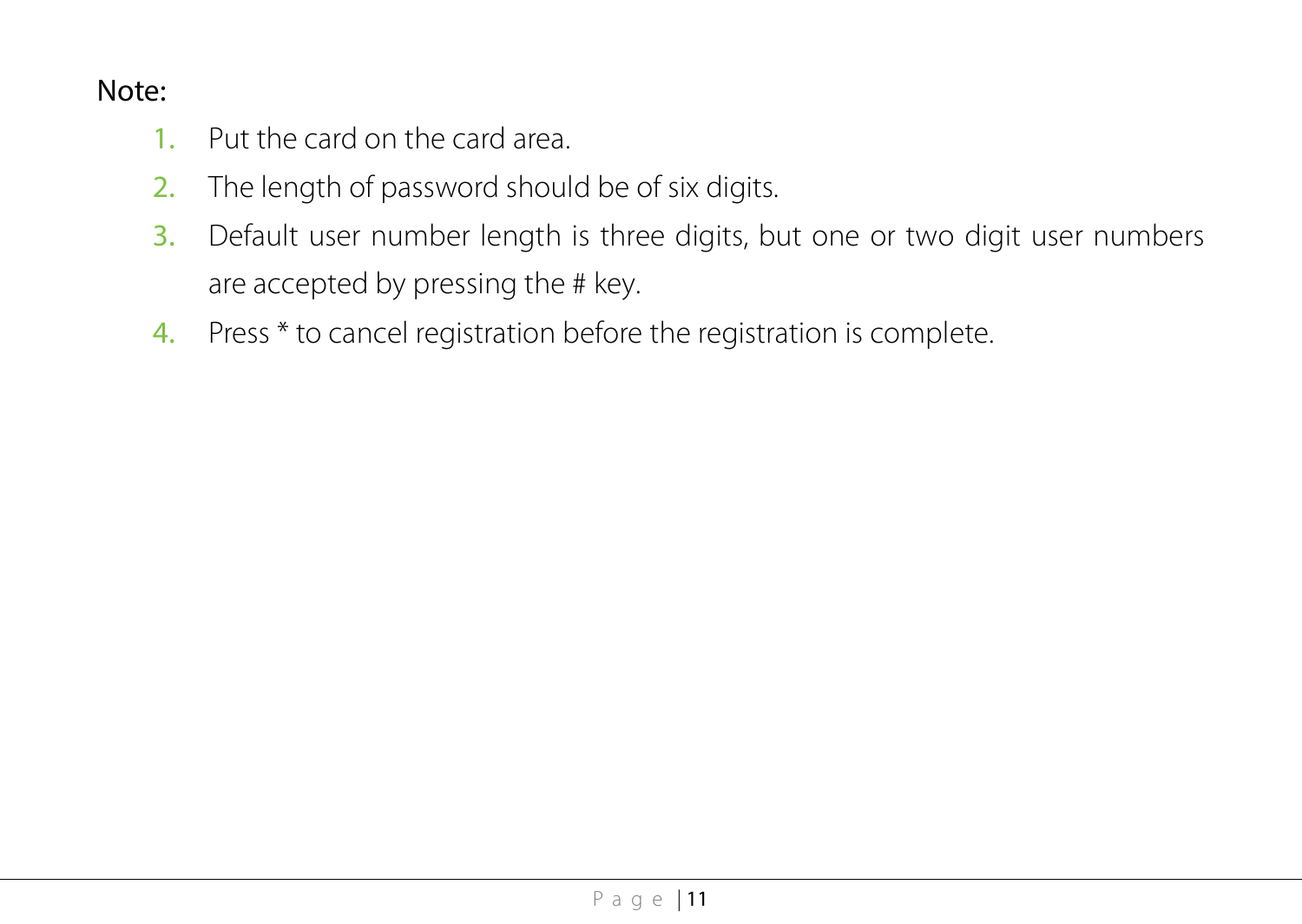#### Note:

- 1. Put the card on the card area.
- 2. The length of password should be of six digits.
- 3. Default user number length is three digits, but one or two digit user numbers are accepted by pressing the # key.
- 4. Press \* to cancel registration before the registration is complete.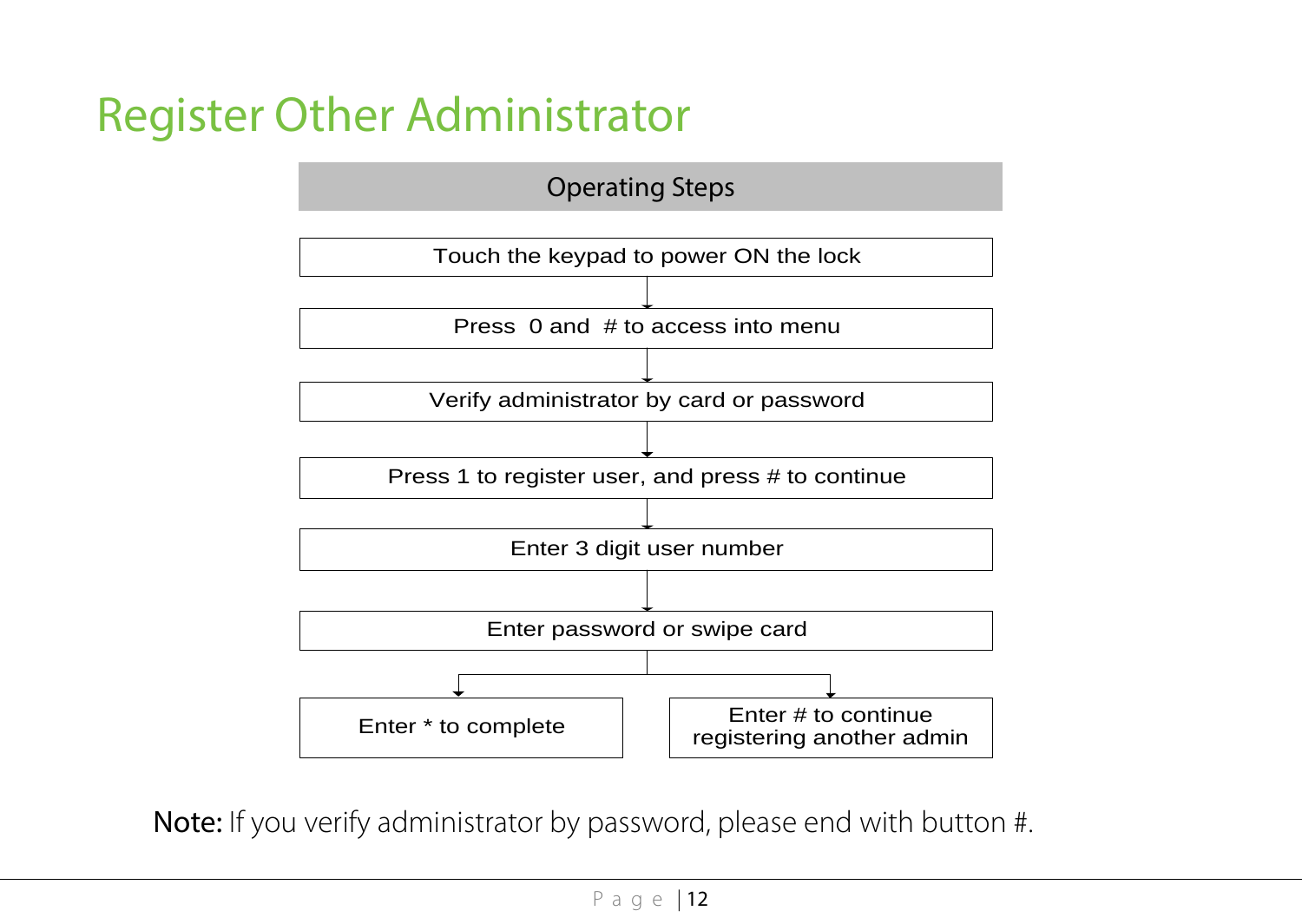# <span id="page-14-0"></span>Register Other Administrator



Note: If you verify administrator by password, please end with button #.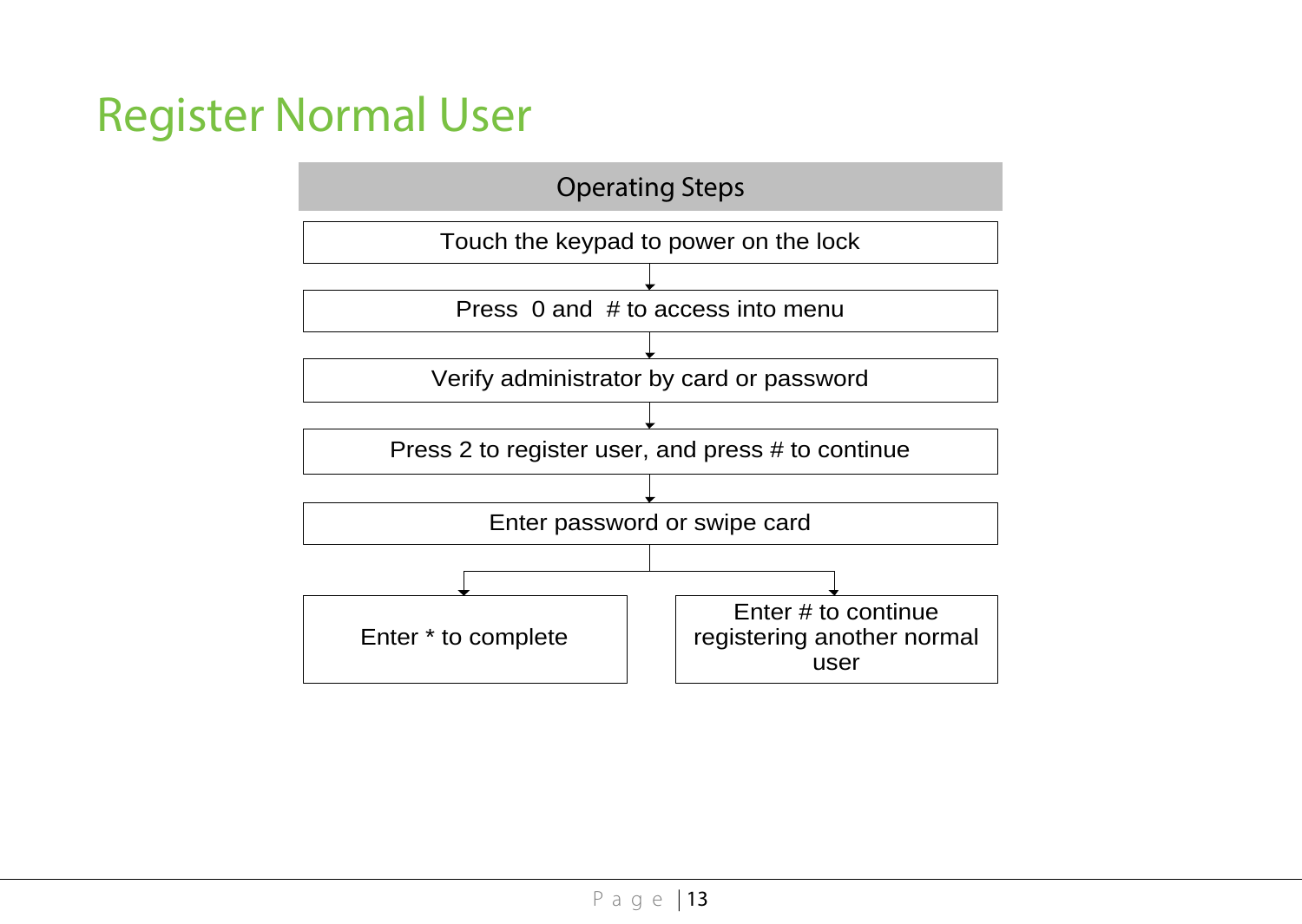# <span id="page-15-0"></span>Register Normal User

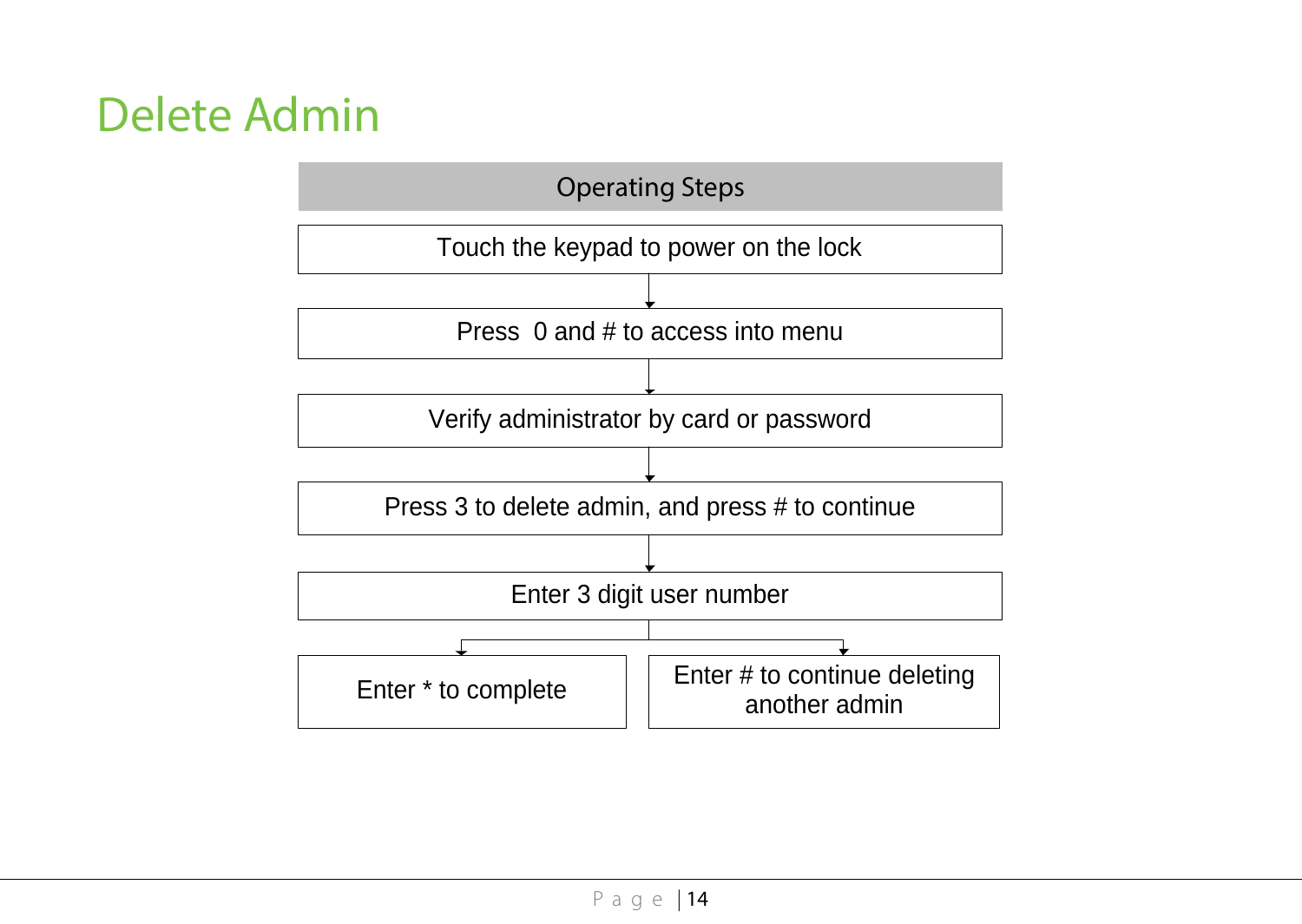# <span id="page-16-0"></span>Delete Admin

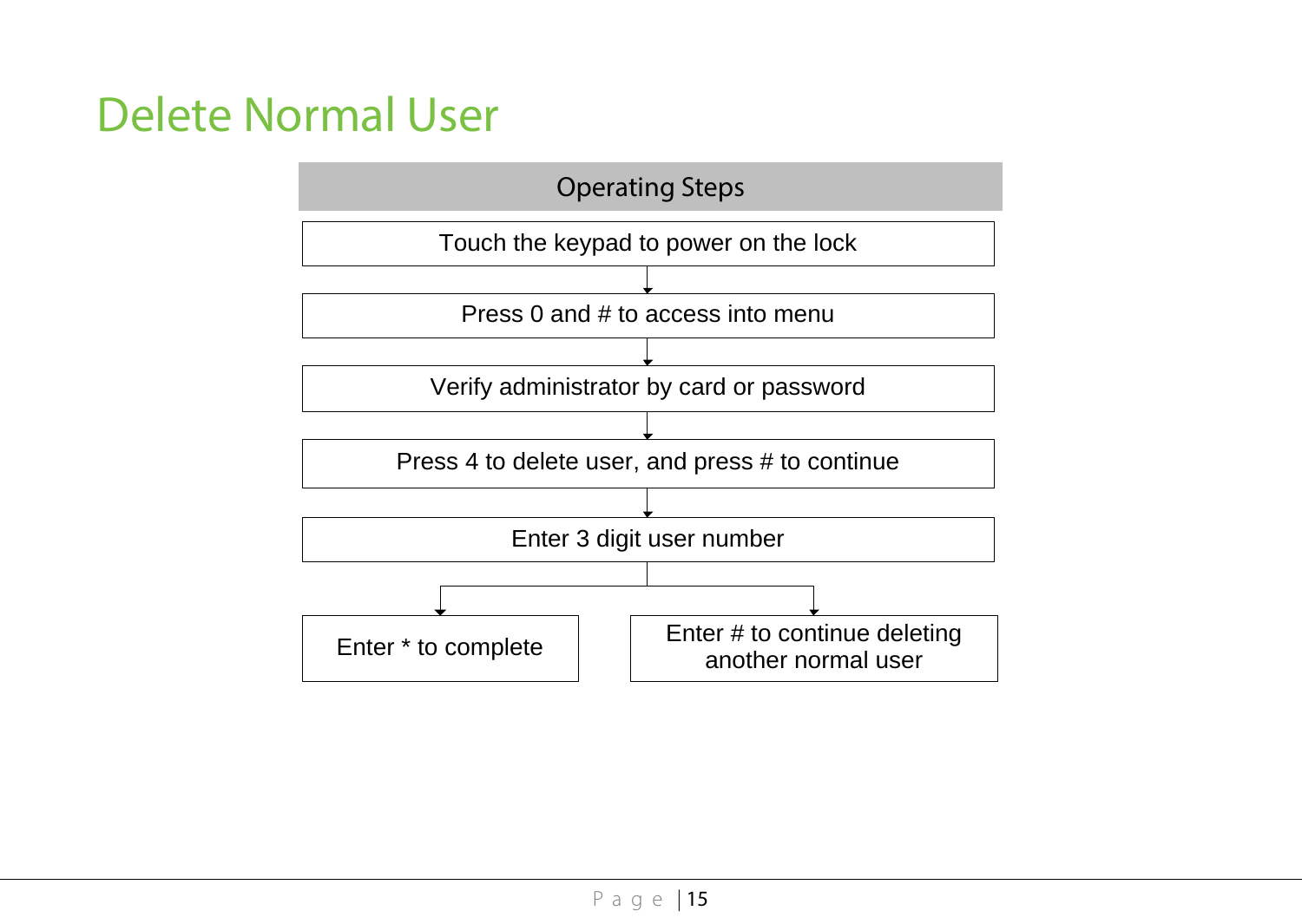# <span id="page-17-0"></span>Delete Normal User

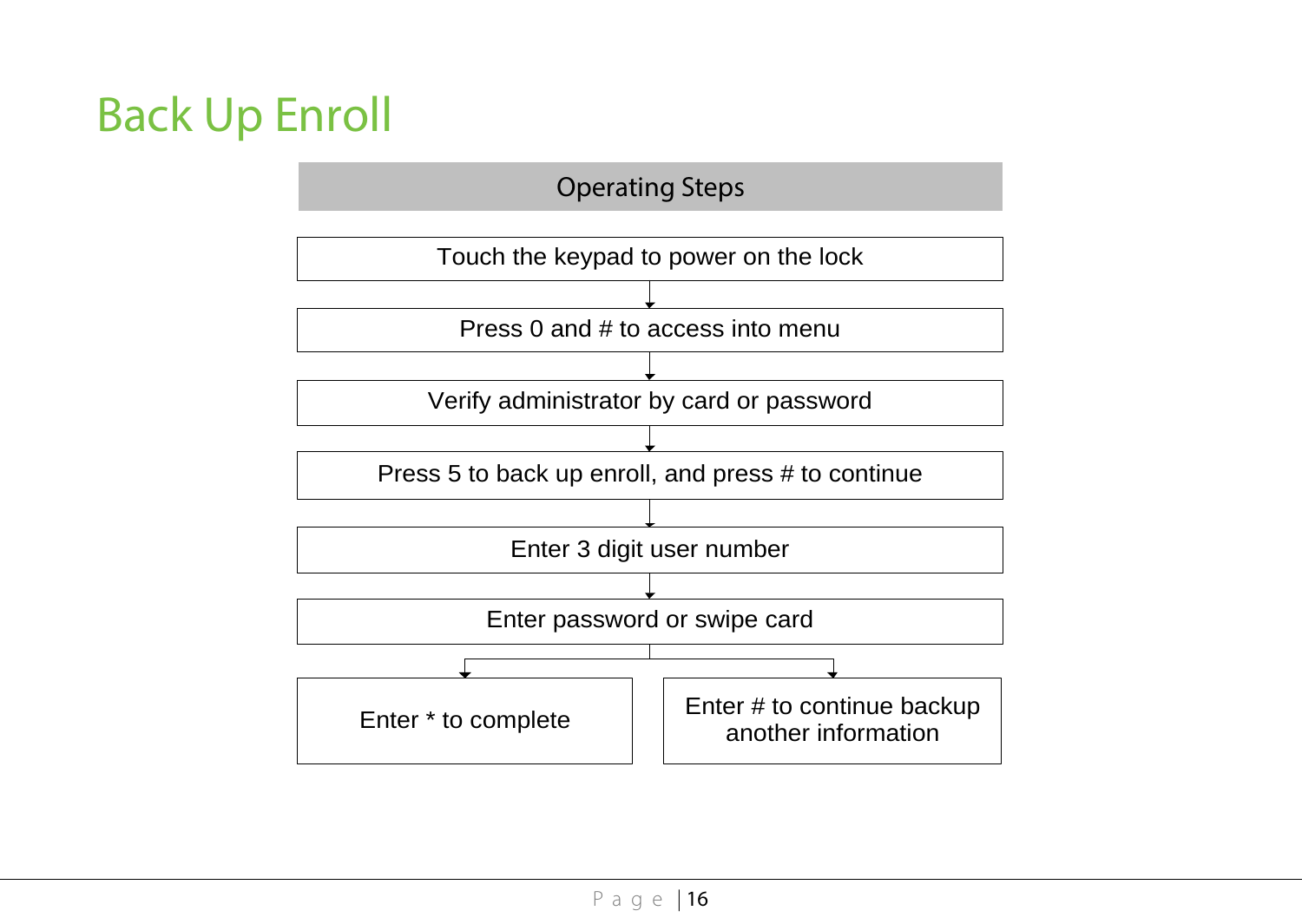# <span id="page-18-0"></span>Back Up Enroll

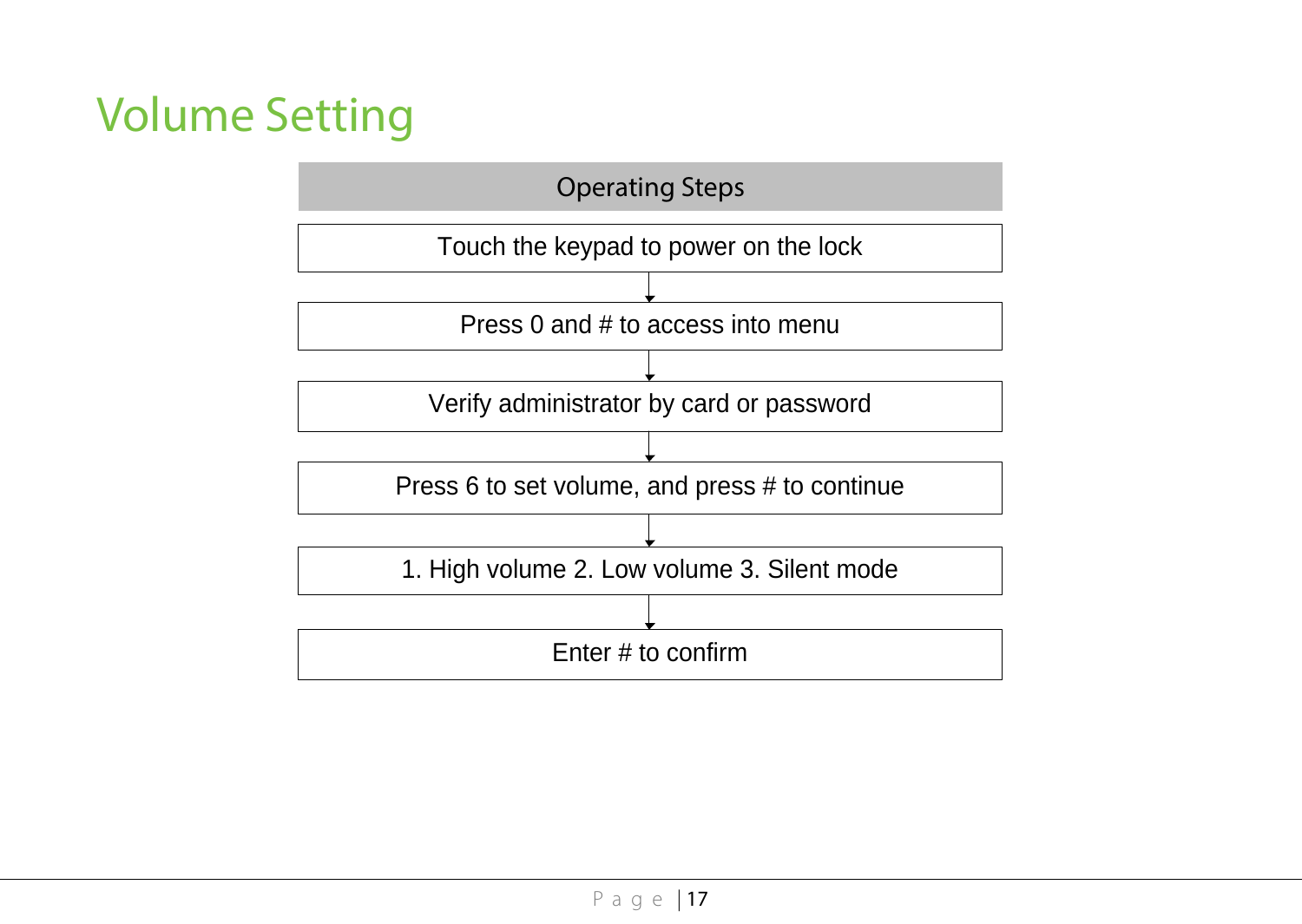# <span id="page-19-0"></span>Volume Setting

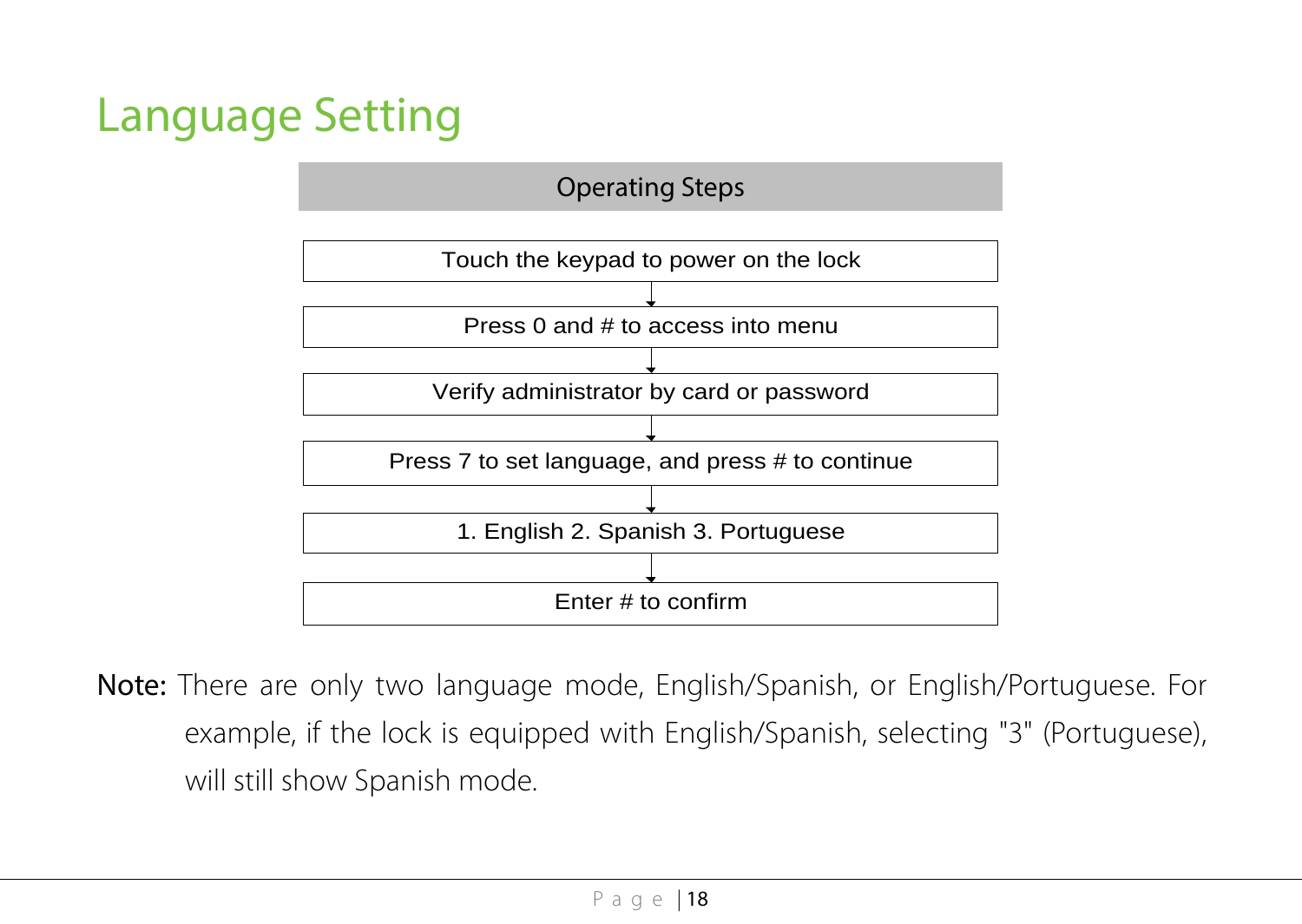# <span id="page-20-0"></span>Language Setting



Note: There are only two language mode, English/Spanish, or English/Portuguese. For example, if the lock is equipped with English/Spanish, selecting "3" (Portuguese), will still show Spanish mode.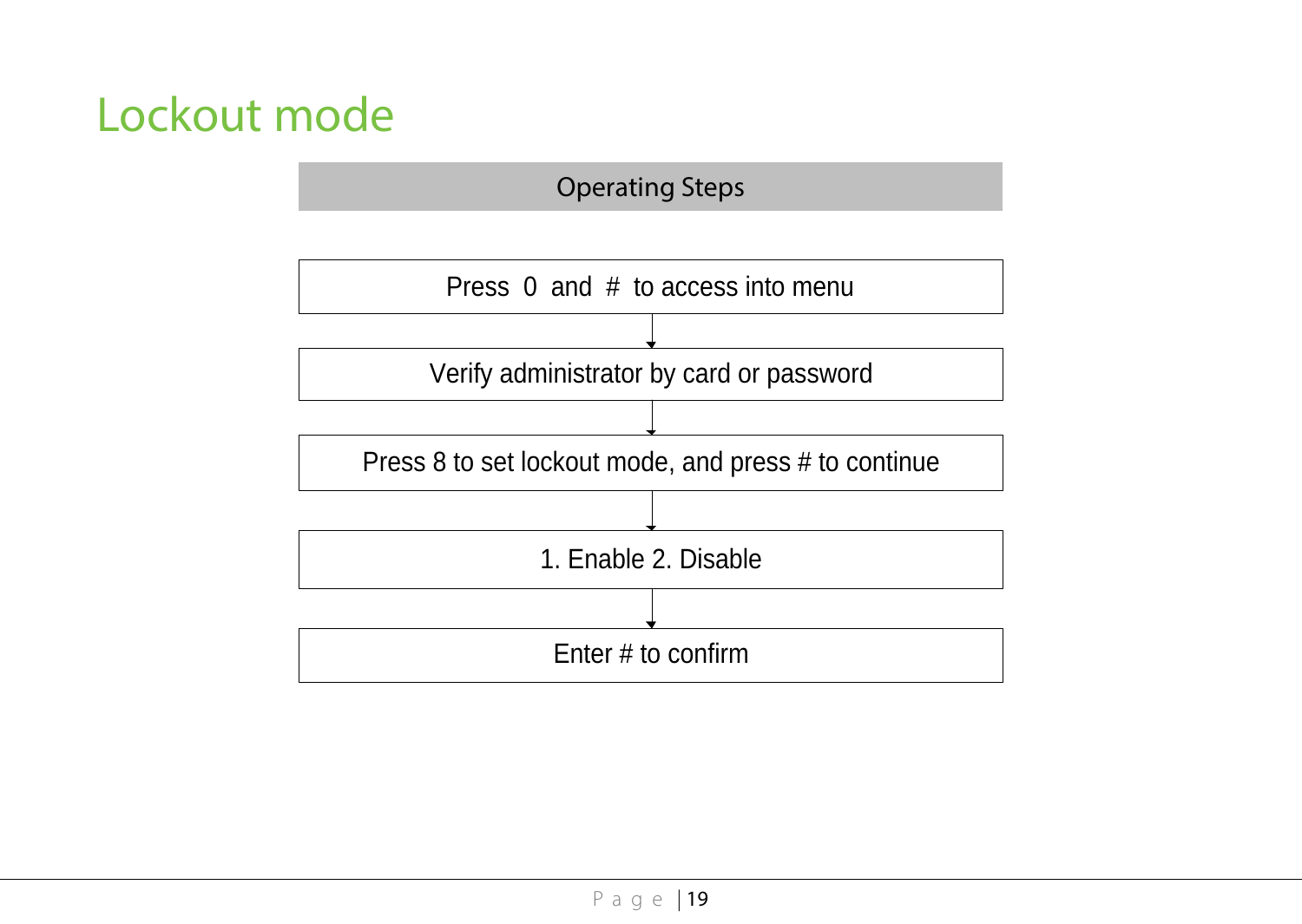# <span id="page-21-0"></span>Lockout mode

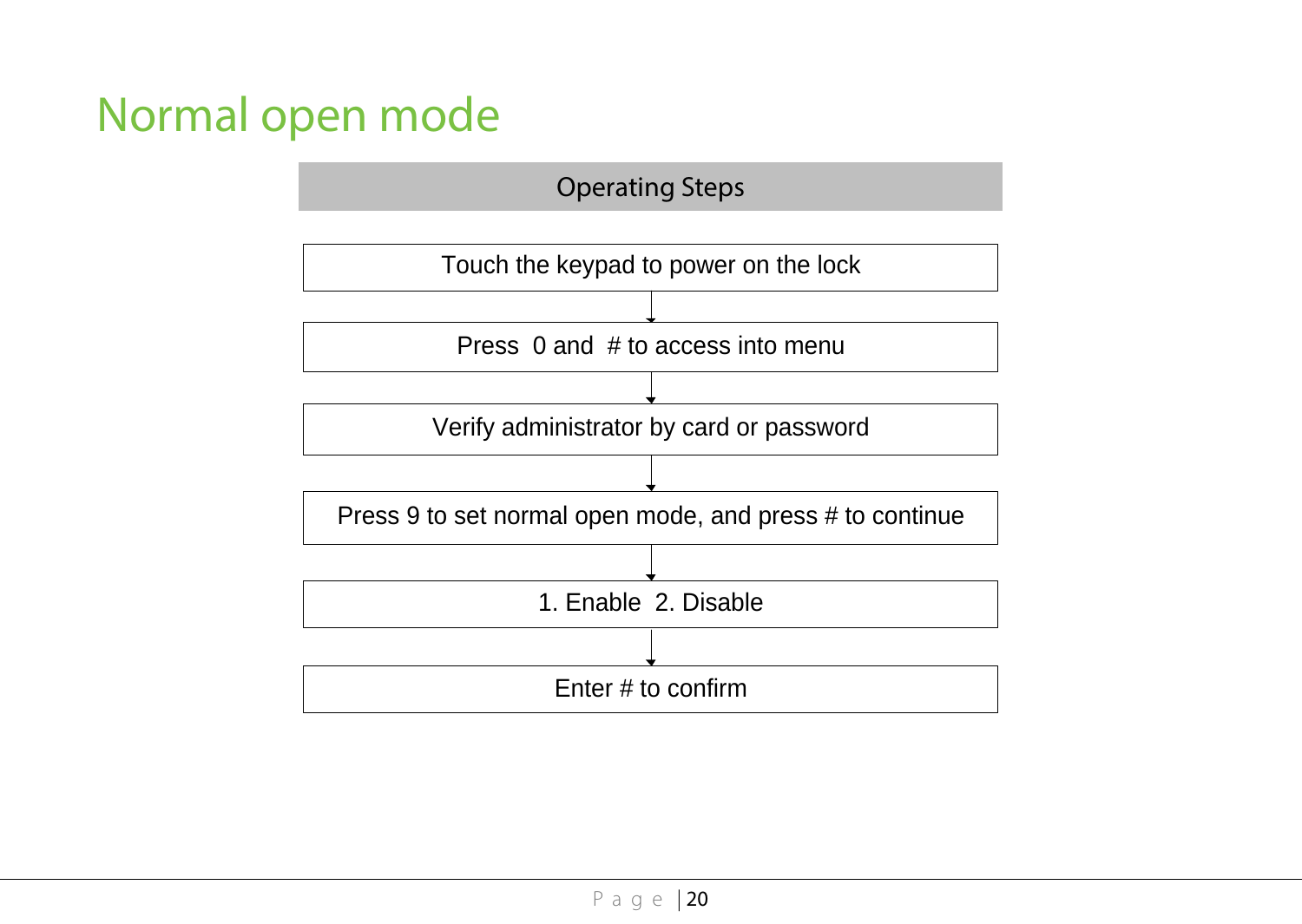# <span id="page-22-0"></span>Normal open mode